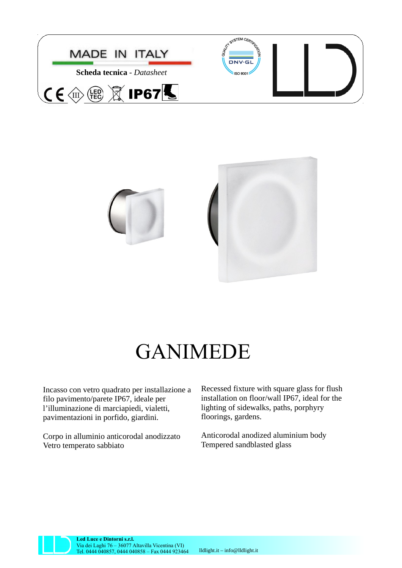



## GANIMEDE

Incasso con vetro quadrato per installazione a filo pavimento/parete IP67, ideale per l'illuminazione di marciapiedi, vialetti, pavimentazioni in porfido, giardini.

Corpo in alluminio anticorodal anodizzato Vetro temperato sabbiato

Recessed fixture with square glass for flush installation on floor/wall IP67, ideal for the lighting of sidewalks, paths, porphyry floorings, gardens.

Anticorodal anodized aluminium body Tempered sandblasted glass



**Led Luce e Dintorni s.r.l.** Via dei Laghi 76 – 36077 Altavilla Vicentina (VI) Tel. 0444 040857, 0444 040858 – Fax 0444 923464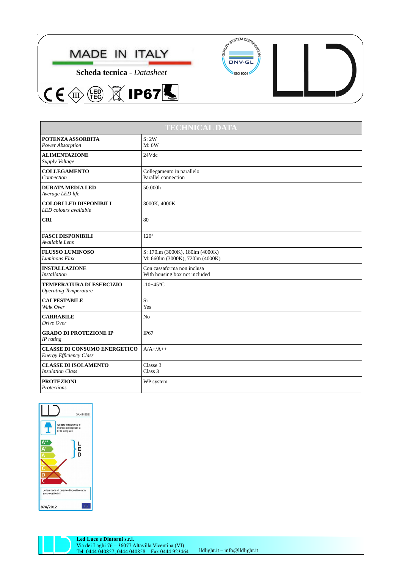

 $(EQ)$ 

 $C \in \textcircled{m}$ 

 $\widetilde{\mathbb{X}}$  IP67 $\overline{\mathbb{S}}$ 





| <b>TECHNICAL DATA</b>                                                 |                                                                    |
|-----------------------------------------------------------------------|--------------------------------------------------------------------|
| POTENZA ASSORBITA<br>Power Absorption                                 | S: 2W<br>M: 6W                                                     |
| <b>ALIMENTAZIONE</b><br>Supply Voltage                                | 24Vdc                                                              |
| <b>COLLEGAMENTO</b><br>Connection                                     | Collegamento in parallelo<br>Parallel connection                   |
| <b>DURATA MEDIA LED</b><br>Average LED life                           | 50.000h                                                            |
| <b>COLORI LED DISPONIBILI</b><br>LED colours available                | 3000K, 4000K                                                       |
| <b>CRI</b>                                                            | 80                                                                 |
| <b>FASCI DISPONIBILI</b><br>Available Lens                            | $120^\circ$                                                        |
| <b>FLUSSO LUMINOSO</b><br>Luminous Flux                               | S: 170lm (3000K), 180lm (4000K)<br>M: 660lm (3000K), 720lm (4000K) |
| <b>INSTALLAZIONE</b><br><b>Installation</b>                           | Con cassaforma non inclusa<br>With housing box not included        |
| <b>TEMPERATURA DI ESERCIZIO</b><br><b>Operating Temperature</b>       | $-10+45$ °C                                                        |
| <b>CALPESTABILE</b><br>Walk Over                                      | Si<br>Yes                                                          |
| <b>CARRABILE</b><br>Drive Over                                        | No                                                                 |
| <b>GRADO DI PROTEZIONE IP</b><br>IP rating                            | <b>IP67</b>                                                        |
| <b>CLASSE DI CONSUMO ENERGETICO</b><br><b>Energy Efficiency Class</b> | $A/A+/A++$                                                         |
| <b>CLASSE DI ISOLAMENTO</b><br><b>Insulation Class</b>                | Classe 3<br>Class 3                                                |
| <b>PROTEZIONI</b><br>Protections                                      | WP system                                                          |